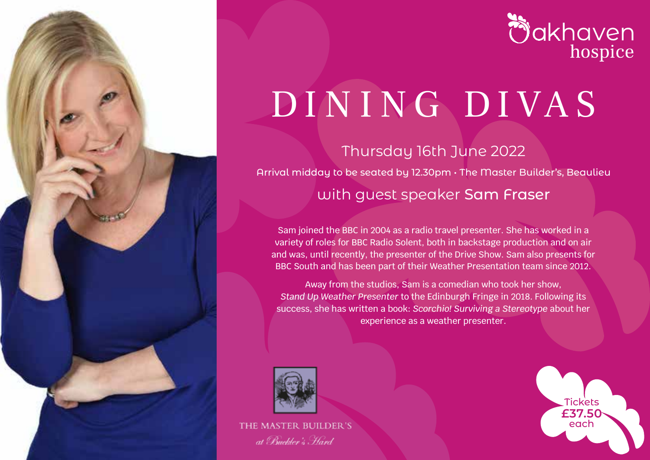



# DI N I NG DI VA S

Thursday 16th June 2022 Arrival midday to be seated by 12.30pm • The Master Builder's, Beaulieu with guest speaker Sam Fraser

Sam joined the BBC in 2004 as a radio travel presenter. She has worked in a variety of roles for BBC Radio Solent, both in backstage production and on air and was, until recently, the presenter of the Drive Show. Sam also presents for BBC South and has been part of their Weather Presentation team since 2012.

Away from the studios, Sam is a comedian who took her show, *Stand Up Weather Presenter* to the Edinburgh Fringe in 2018. Following its success, she has written a book: *Scorchio! Surviving a Stereotype* about her experience as a weather presenter.



THE MASTER BUILDER'S at Buckler's Hard